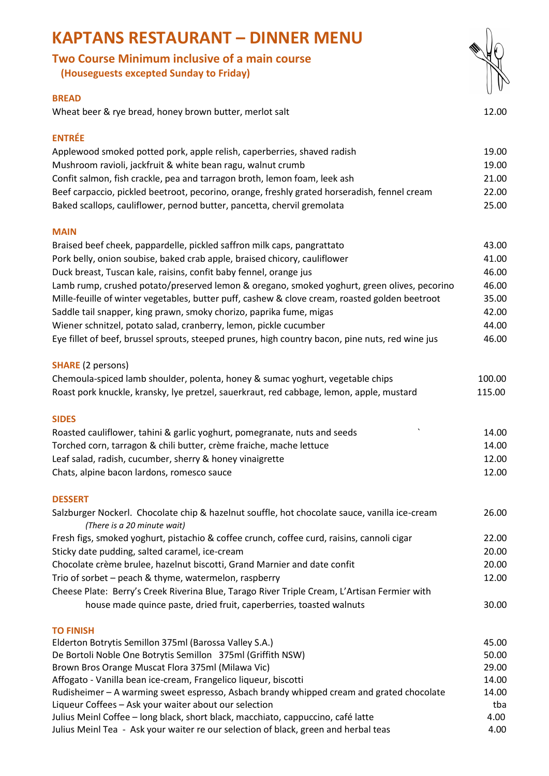| <b>Two Course Minimum inclusive of a main course</b><br>(Houseguests excepted Sunday to Friday)                                                             |                |
|-------------------------------------------------------------------------------------------------------------------------------------------------------------|----------------|
|                                                                                                                                                             |                |
| <b>BREAD</b><br>Wheat beer & rye bread, honey brown butter, merlot salt                                                                                     | 12.00          |
| <b>ENTRÉE</b>                                                                                                                                               |                |
| Applewood smoked potted pork, apple relish, caperberries, shaved radish                                                                                     | 19.00          |
| Mushroom ravioli, jackfruit & white bean ragu, walnut crumb                                                                                                 | 19.00          |
| Confit salmon, fish crackle, pea and tarragon broth, lemon foam, leek ash                                                                                   | 21.00          |
| Beef carpaccio, pickled beetroot, pecorino, orange, freshly grated horseradish, fennel cream                                                                | 22.00          |
| Baked scallops, cauliflower, pernod butter, pancetta, chervil gremolata                                                                                     | 25.00          |
| <b>MAIN</b>                                                                                                                                                 |                |
| Braised beef cheek, pappardelle, pickled saffron milk caps, pangrattato                                                                                     | 43.00          |
| Pork belly, onion soubise, baked crab apple, braised chicory, cauliflower                                                                                   | 41.00          |
| Duck breast, Tuscan kale, raisins, confit baby fennel, orange jus                                                                                           | 46.00          |
| Lamb rump, crushed potato/preserved lemon & oregano, smoked yoghurt, green olives, pecorino                                                                 | 46.00          |
| Mille-feuille of winter vegetables, butter puff, cashew & clove cream, roasted golden beetroot                                                              | 35.00          |
| Saddle tail snapper, king prawn, smoky chorizo, paprika fume, migas                                                                                         | 42.00          |
| Wiener schnitzel, potato salad, cranberry, lemon, pickle cucumber                                                                                           | 44.00          |
| Eye fillet of beef, brussel sprouts, steeped prunes, high country bacon, pine nuts, red wine jus                                                            | 46.00          |
| <b>SHARE</b> (2 persons)                                                                                                                                    |                |
| Chemoula-spiced lamb shoulder, polenta, honey & sumac yoghurt, vegetable chips                                                                              | 100.00         |
| Roast pork knuckle, kransky, lye pretzel, sauerkraut, red cabbage, lemon, apple, mustard                                                                    | 115.00         |
| <b>SIDES</b>                                                                                                                                                |                |
| Roasted cauliflower, tahini & garlic yoghurt, pomegranate, nuts and seeds                                                                                   | 14.00          |
| Torched corn, tarragon & chili butter, crème fraiche, mache lettuce                                                                                         | 14.00          |
| Leaf salad, radish, cucumber, sherry & honey vinaigrette                                                                                                    | 12.00          |
| Chats, alpine bacon lardons, romesco sauce                                                                                                                  | 12.00          |
| <b>DESSERT</b>                                                                                                                                              |                |
| Salzburger Nockerl. Chocolate chip & hazelnut souffle, hot chocolate sauce, vanilla ice-cream<br>(There is a 20 minute wait)                                | 26.00          |
| Fresh figs, smoked yoghurt, pistachio & coffee crunch, coffee curd, raisins, cannoli cigar                                                                  | 22.00          |
| Sticky date pudding, salted caramel, ice-cream                                                                                                              | 20.00          |
| Chocolate crème brulee, hazelnut biscotti, Grand Marnier and date confit                                                                                    | 20.00          |
| Trio of sorbet - peach & thyme, watermelon, raspberry                                                                                                       | 12.00          |
| Cheese Plate: Berry's Creek Riverina Blue, Tarago River Triple Cream, L'Artisan Fermier with                                                                |                |
| house made quince paste, dried fruit, caperberries, toasted walnuts                                                                                         | 30.00          |
| <b>TO FINISH</b>                                                                                                                                            |                |
| Elderton Botrytis Semillon 375ml (Barossa Valley S.A.)                                                                                                      | 45.00          |
| De Bortoli Noble One Botrytis Semillon 375ml (Griffith NSW)                                                                                                 | 50.00          |
| Brown Bros Orange Muscat Flora 375ml (Milawa Vic)                                                                                                           | 29.00          |
| Affogato - Vanilla bean ice-cream, Frangelico liqueur, biscotti<br>Rudisheimer - A warming sweet espresso, Asbach brandy whipped cream and grated chocolate | 14.00<br>14.00 |
| Liqueur Coffees - Ask your waiter about our selection                                                                                                       | tba            |
| Julius Meinl Coffee - long black, short black, macchiato, cappuccino, café latte                                                                            | 4.00           |
|                                                                                                                                                             |                |

## **KAPTANS RESTAURANT – DINNER MENU**

#### **BREAD**

## **ENTRÉE**

| .                                                                                            |        |
|----------------------------------------------------------------------------------------------|--------|
| Applewood smoked potted pork, apple relish, caperberries, shaved radish                      | 19.00  |
| Mushroom ravioli, jackfruit & white bean ragu, walnut crumb                                  | 19.00  |
| Confit salmon, fish crackle, pea and tarragon broth, lemon foam, leek ash                    | 21.00  |
| Beef carpaccio, pickled beetroot, pecorino, orange, freshly grated horseradish, fennel cream | 22.00  |
| Baked scallops, cauliflower, pernod butter, pancetta, chervil gremolata                      | 25.00. |

### **MAIN**

| Braised beef cheek, pappardelle, pickled saffron milk caps, pangrattato                          | 43.00 |
|--------------------------------------------------------------------------------------------------|-------|
| Pork belly, onion soubise, baked crab apple, braised chicory, cauliflower                        | 41.00 |
| Duck breast, Tuscan kale, raisins, confit baby fennel, orange jus                                | 46.00 |
| Lamb rump, crushed potato/preserved lemon & oregano, smoked yoghurt, green olives, pecorino      | 46.00 |
| Mille-feuille of winter vegetables, butter puff, cashew & clove cream, roasted golden beetroot   | 35.00 |
| Saddle tail snapper, king prawn, smoky chorizo, paprika fume, migas                              | 42.00 |
| Wiener schnitzel, potato salad, cranberry, lemon, pickle cucumber                                | 44.00 |
| Eye fillet of beef, brussel sprouts, steeped prunes, high country bacon, pine nuts, red wine jus | 46.00 |
|                                                                                                  |       |

## **SHA**

| Chemoula-spiced lamb shoulder, polenta, honey & sumac yoghurt, vegetable chips           | 100.00 |
|------------------------------------------------------------------------------------------|--------|
| Roast pork knuckle, kransky, lye pretzel, sauerkraut, red cabbage, lemon, apple, mustard | 115.00 |

## **SIDES**

| Roasted cauliflower, tahini & garlic yoghurt, pomegranate, nuts and seeds | 14.00 |
|---------------------------------------------------------------------------|-------|
| Torched corn, tarragon & chili butter, crème fraiche, mache lettuce       | 14.00 |
| Leaf salad, radish, cucumber, sherry & honey vinaigrette                  | 12.00 |
| Chats, alpine bacon lardons, romesco sauce                                | 12.00 |

### **DESSERT**

| Salzburger Nockerl. Chocolate chip & hazelnut souffle, hot chocolate sauce, vanilla ice-cream | 26.00 |
|-----------------------------------------------------------------------------------------------|-------|
| (There is a 20 minute wait)                                                                   |       |
| Fresh figs, smoked yoghurt, pistachio & coffee crunch, coffee curd, raisins, cannoli cigar    | 22.00 |
| Sticky date pudding, salted caramel, ice-cream                                                | 20.00 |
| Chocolate crème brulee, hazelnut biscotti, Grand Marnier and date confit                      | 20.00 |
| Trio of sorbet – peach & thyme, watermelon, raspberry                                         | 12.00 |
| Cheese Plate: Berry's Creek Riverina Blue, Tarago River Triple Cream, L'Artisan Fermier with  |       |
| house made quince paste, dried fruit, caperberries, toasted walnuts                           | 30.00 |
|                                                                                               |       |

### **TO FINISH**

Julius Meinl Coffee – long black, short black, macchiato, cappuccino, café latte 4.00 Julius Meinl Tea - Ask your waiter re our selection of black, green and herbal teas 4.00